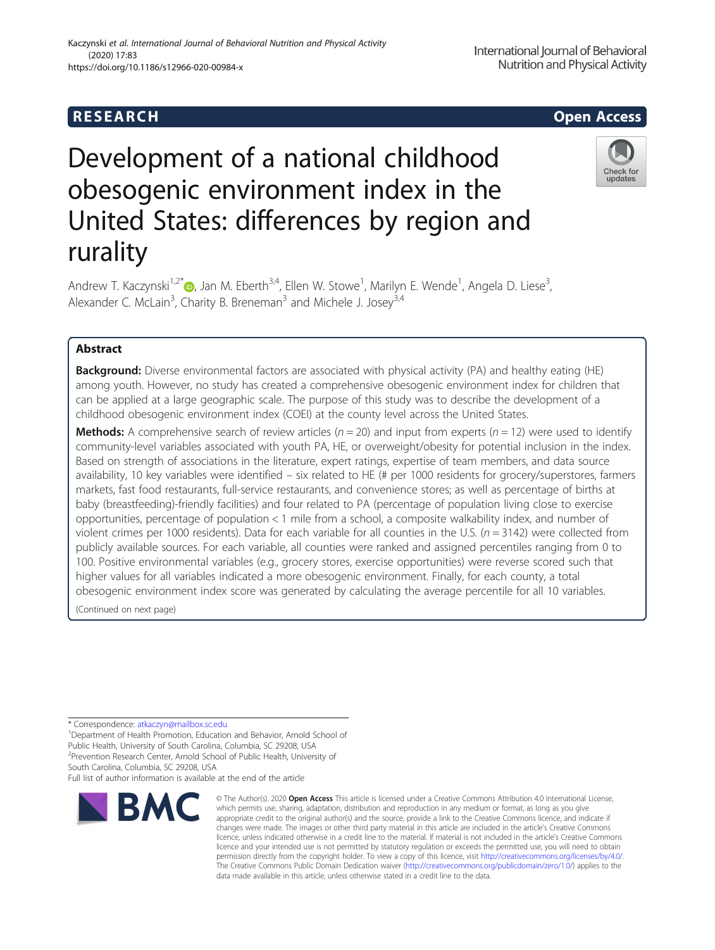## **RESEARCH CHILD CONTROL** CONTROL CONTROL CONTROL CONTROL CONTROL CONTROL CONTROL CONTROL CONTROL CONTROL CONTROL CONTROL CONTROL CONTROL CONTROL CONTROL CONTROL CONTROL CONTROL CONTROL CONTROL CONTROL CONTROL CONTROL CONTR

(2020) 17:83

# Development of a national childhood obesogenic environment index in the United States: differences by region and rurality

Andrew T. Kaczynski<sup>1,2[\\*](http://orcid.org/0000-0001-8724-8241)</sup>®, Jan M. Eberth<sup>3,4</sup>, Ellen W. Stowe<sup>1</sup>, Marilyn E. Wende<sup>1</sup>, Angela D. Liese<sup>3</sup> , Alexander C. McLain<sup>3</sup>, Charity B. Breneman<sup>3</sup> and Michele J. Josey<sup>3,4</sup>

## Abstract

**Background:** Diverse environmental factors are associated with physical activity (PA) and healthy eating (HE) among youth. However, no study has created a comprehensive obesogenic environment index for children that can be applied at a large geographic scale. The purpose of this study was to describe the development of a childhood obesogenic environment index (COEI) at the county level across the United States.

**Methods:** A comprehensive search of review articles ( $n = 20$ ) and input from experts ( $n = 12$ ) were used to identify community-level variables associated with youth PA, HE, or overweight/obesity for potential inclusion in the index. Based on strength of associations in the literature, expert ratings, expertise of team members, and data source availability, 10 key variables were identified – six related to HE (# per 1000 residents for grocery/superstores, farmers markets, fast food restaurants, full-service restaurants, and convenience stores; as well as percentage of births at baby (breastfeeding)-friendly facilities) and four related to PA (percentage of population living close to exercise opportunities, percentage of population < 1 mile from a school, a composite walkability index, and number of violent crimes per 1000 residents). Data for each variable for all counties in the U.S. ( $n = 3142$ ) were collected from publicly available sources. For each variable, all counties were ranked and assigned percentiles ranging from 0 to 100. Positive environmental variables (e.g., grocery stores, exercise opportunities) were reverse scored such that higher values for all variables indicated a more obesogenic environment. Finally, for each county, a total obesogenic environment index score was generated by calculating the average percentile for all 10 variables.

(Continued on next page)

\* Correspondence: [atkaczyn@mailbox.sc.edu](mailto:atkaczyn@mailbox.sc.edu) <sup>1</sup>

<sup>1</sup> Department of Health Promotion, Education and Behavior, Arnold School of Public Health, University of South Carolina, Columbia, SC 29208, USA <sup>2</sup> Prevention Research Center, Arnold School of Public Health, University of South Carolina, Columbia, SC 29208, USA

Full list of author information is available at the end of the article



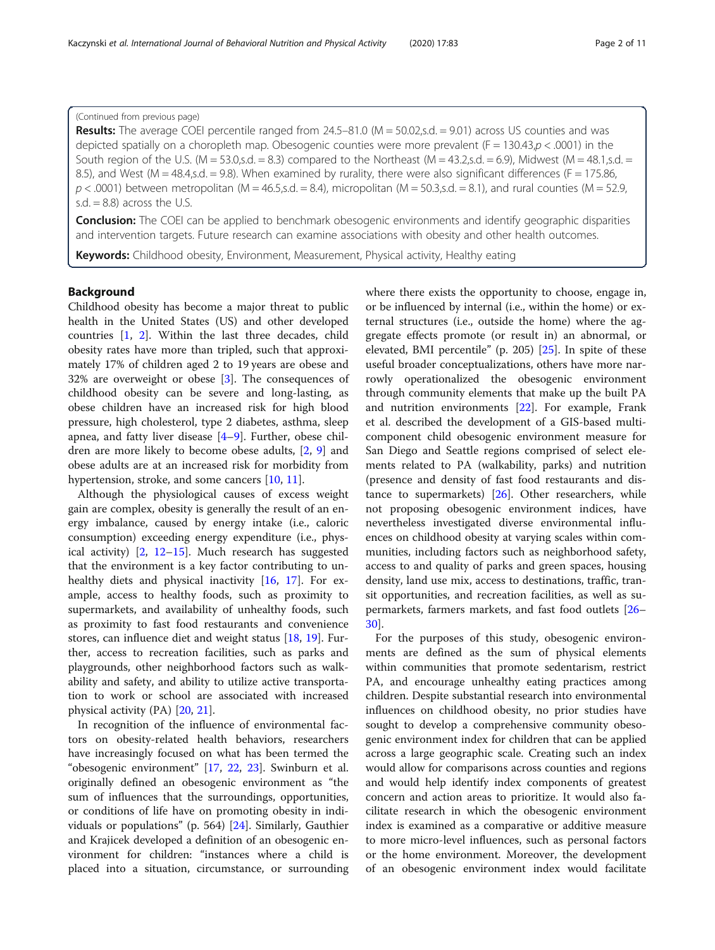**Results:** The average COEI percentile ranged from 24.5–81.0 ( $M = 50.02$ ,s.d.  $= 9.01$ ) across US counties and was depicted spatially on a choropleth map. Obesogenic counties were more prevalent ( $F = 130.43$ , $p < .0001$ ) in the South region of the U.S. (M = 53.0,s.d. = 8.3) compared to the Northeast (M = 43.2,s.d. = 6.9), Midwest (M = 48.1,s.d. = 8.5), and West (M = 48.4, s.d. = 9.8). When examined by rurality, there were also significant differences (F = 175.86,  $p < .0001$ ) between metropolitan (M = 46.5,s.d. = 8.4), micropolitan (M = 50.3,s.d. = 8.1), and rural counties (M = 52.9, s.d.  $= 8.8$ ) across the U.S.

Conclusion: The COEI can be applied to benchmark obesogenic environments and identify geographic disparities and intervention targets. Future research can examine associations with obesity and other health outcomes.

Keywords: Childhood obesity, Environment, Measurement, Physical activity, Healthy eating

## Background

Childhood obesity has become a major threat to public health in the United States (US) and other developed countries [\[1](#page-9-0), [2\]](#page-9-0). Within the last three decades, child obesity rates have more than tripled, such that approximately 17% of children aged 2 to 19 years are obese and 32% are overweight or obese [\[3\]](#page-9-0). The consequences of childhood obesity can be severe and long-lasting, as obese children have an increased risk for high blood pressure, high cholesterol, type 2 diabetes, asthma, sleep apnea, and fatty liver disease [\[4](#page-9-0)–[9\]](#page-9-0). Further, obese children are more likely to become obese adults, [[2,](#page-9-0) [9\]](#page-9-0) and obese adults are at an increased risk for morbidity from hypertension, stroke, and some cancers [[10,](#page-9-0) [11](#page-9-0)].

Although the physiological causes of excess weight gain are complex, obesity is generally the result of an energy imbalance, caused by energy intake (i.e., caloric consumption) exceeding energy expenditure (i.e., physical activity)  $[2, 12-15]$  $[2, 12-15]$  $[2, 12-15]$  $[2, 12-15]$  $[2, 12-15]$ . Much research has suggested that the environment is a key factor contributing to un-healthy diets and physical inactivity [\[16](#page-9-0), [17\]](#page-9-0). For example, access to healthy foods, such as proximity to supermarkets, and availability of unhealthy foods, such as proximity to fast food restaurants and convenience stores, can influence diet and weight status [[18,](#page-9-0) [19](#page-9-0)]. Further, access to recreation facilities, such as parks and playgrounds, other neighborhood factors such as walkability and safety, and ability to utilize active transportation to work or school are associated with increased physical activity (PA) [\[20](#page-9-0), [21\]](#page-9-0).

In recognition of the influence of environmental factors on obesity-related health behaviors, researchers have increasingly focused on what has been termed the "obesogenic environment" [\[17](#page-9-0), [22](#page-9-0), [23\]](#page-9-0). Swinburn et al. originally defined an obesogenic environment as "the sum of influences that the surroundings, opportunities, or conditions of life have on promoting obesity in individuals or populations" (p. 564) [\[24](#page-9-0)]. Similarly, Gauthier and Krajicek developed a definition of an obesogenic environment for children: "instances where a child is placed into a situation, circumstance, or surrounding where there exists the opportunity to choose, engage in, or be influenced by internal (i.e., within the home) or external structures (i.e., outside the home) where the aggregate effects promote (or result in) an abnormal, or elevated, BMI percentile" (p. 205) [[25\]](#page-9-0). In spite of these useful broader conceptualizations, others have more narrowly operationalized the obesogenic environment through community elements that make up the built PA and nutrition environments [[22](#page-9-0)]. For example, Frank et al. described the development of a GIS-based multicomponent child obesogenic environment measure for San Diego and Seattle regions comprised of select elements related to PA (walkability, parks) and nutrition (presence and density of fast food restaurants and distance to supermarkets) [[26\]](#page-9-0). Other researchers, while not proposing obesogenic environment indices, have nevertheless investigated diverse environmental influences on childhood obesity at varying scales within communities, including factors such as neighborhood safety, access to and quality of parks and green spaces, housing density, land use mix, access to destinations, traffic, transit opportunities, and recreation facilities, as well as supermarkets, farmers markets, and fast food outlets [[26](#page-9-0)– [30\]](#page-9-0).

For the purposes of this study, obesogenic environments are defined as the sum of physical elements within communities that promote sedentarism, restrict PA, and encourage unhealthy eating practices among children. Despite substantial research into environmental influences on childhood obesity, no prior studies have sought to develop a comprehensive community obesogenic environment index for children that can be applied across a large geographic scale. Creating such an index would allow for comparisons across counties and regions and would help identify index components of greatest concern and action areas to prioritize. It would also facilitate research in which the obesogenic environment index is examined as a comparative or additive measure to more micro-level influences, such as personal factors or the home environment. Moreover, the development of an obesogenic environment index would facilitate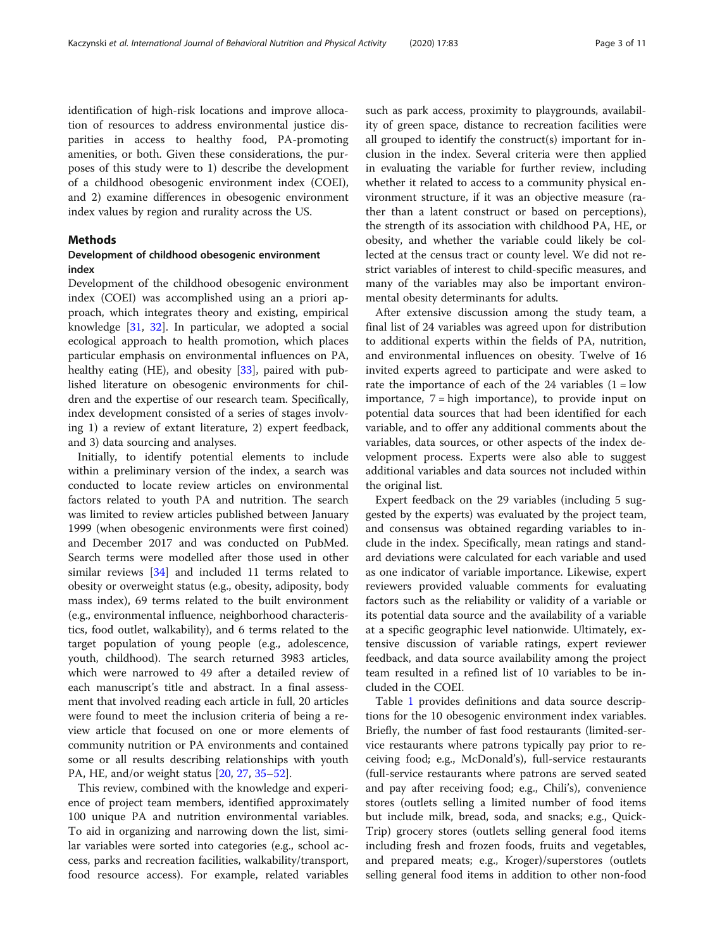identification of high-risk locations and improve allocation of resources to address environmental justice disparities in access to healthy food, PA-promoting amenities, or both. Given these considerations, the purposes of this study were to 1) describe the development of a childhood obesogenic environment index (COEI), and 2) examine differences in obesogenic environment index values by region and rurality across the US.

## Methods

## Development of childhood obesogenic environment index

Development of the childhood obesogenic environment index (COEI) was accomplished using an a priori approach, which integrates theory and existing, empirical knowledge [\[31](#page-9-0), [32\]](#page-9-0). In particular, we adopted a social ecological approach to health promotion, which places particular emphasis on environmental influences on PA, healthy eating (HE), and obesity [\[33](#page-9-0)], paired with published literature on obesogenic environments for children and the expertise of our research team. Specifically, index development consisted of a series of stages involving 1) a review of extant literature, 2) expert feedback, and 3) data sourcing and analyses.

Initially, to identify potential elements to include within a preliminary version of the index, a search was conducted to locate review articles on environmental factors related to youth PA and nutrition. The search was limited to review articles published between January 1999 (when obesogenic environments were first coined) and December 2017 and was conducted on PubMed. Search terms were modelled after those used in other similar reviews [[34\]](#page-9-0) and included 11 terms related to obesity or overweight status (e.g., obesity, adiposity, body mass index), 69 terms related to the built environment (e.g., environmental influence, neighborhood characteristics, food outlet, walkability), and 6 terms related to the target population of young people (e.g., adolescence, youth, childhood). The search returned 3983 articles, which were narrowed to 49 after a detailed review of each manuscript's title and abstract. In a final assessment that involved reading each article in full, 20 articles were found to meet the inclusion criteria of being a review article that focused on one or more elements of community nutrition or PA environments and contained some or all results describing relationships with youth PA, HE, and/or weight status [\[20](#page-9-0), [27](#page-9-0), [35](#page-9-0)–[52\]](#page-10-0).

This review, combined with the knowledge and experience of project team members, identified approximately 100 unique PA and nutrition environmental variables. To aid in organizing and narrowing down the list, similar variables were sorted into categories (e.g., school access, parks and recreation facilities, walkability/transport, food resource access). For example, related variables such as park access, proximity to playgrounds, availability of green space, distance to recreation facilities were all grouped to identify the construct(s) important for inclusion in the index. Several criteria were then applied in evaluating the variable for further review, including whether it related to access to a community physical environment structure, if it was an objective measure (rather than a latent construct or based on perceptions), the strength of its association with childhood PA, HE, or obesity, and whether the variable could likely be collected at the census tract or county level. We did not restrict variables of interest to child-specific measures, and many of the variables may also be important environmental obesity determinants for adults.

After extensive discussion among the study team, a final list of 24 variables was agreed upon for distribution to additional experts within the fields of PA, nutrition, and environmental influences on obesity. Twelve of 16 invited experts agreed to participate and were asked to rate the importance of each of the 24 variables  $(1 = low$ importance,  $7 =$  high importance), to provide input on potential data sources that had been identified for each variable, and to offer any additional comments about the variables, data sources, or other aspects of the index development process. Experts were also able to suggest additional variables and data sources not included within the original list.

Expert feedback on the 29 variables (including 5 suggested by the experts) was evaluated by the project team, and consensus was obtained regarding variables to include in the index. Specifically, mean ratings and standard deviations were calculated for each variable and used as one indicator of variable importance. Likewise, expert reviewers provided valuable comments for evaluating factors such as the reliability or validity of a variable or its potential data source and the availability of a variable at a specific geographic level nationwide. Ultimately, extensive discussion of variable ratings, expert reviewer feedback, and data source availability among the project team resulted in a refined list of 10 variables to be included in the COEI.

Table [1](#page-3-0) provides definitions and data source descriptions for the 10 obesogenic environment index variables. Briefly, the number of fast food restaurants (limited-service restaurants where patrons typically pay prior to receiving food; e.g., McDonald's), full-service restaurants (full-service restaurants where patrons are served seated and pay after receiving food; e.g., Chili's), convenience stores (outlets selling a limited number of food items but include milk, bread, soda, and snacks; e.g., Quick-Trip) grocery stores (outlets selling general food items including fresh and frozen foods, fruits and vegetables, and prepared meats; e.g., Kroger)/superstores (outlets selling general food items in addition to other non-food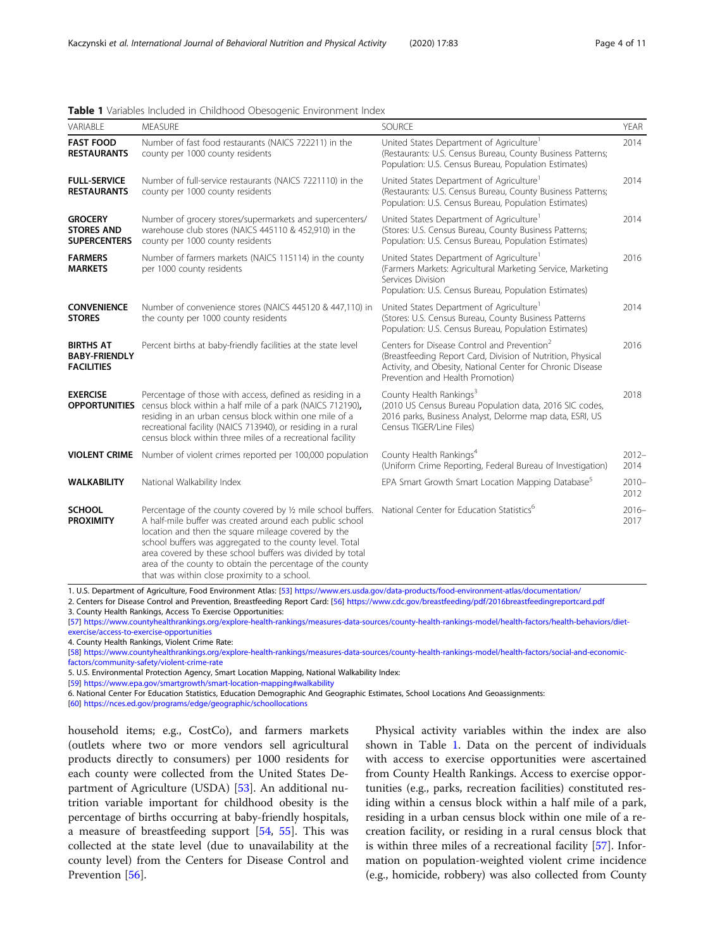| VARIABLE                                                      | <b>MEASURE</b>                                                                                                                                                                                                                                                                                                                                                                                                        | <b>SOURCE</b>                                                                                                                                                                                                            | YEAR             |
|---------------------------------------------------------------|-----------------------------------------------------------------------------------------------------------------------------------------------------------------------------------------------------------------------------------------------------------------------------------------------------------------------------------------------------------------------------------------------------------------------|--------------------------------------------------------------------------------------------------------------------------------------------------------------------------------------------------------------------------|------------------|
| <b>FAST FOOD</b><br><b>RESTAURANTS</b>                        | Number of fast food restaurants (NAICS 722211) in the<br>county per 1000 county residents                                                                                                                                                                                                                                                                                                                             | United States Department of Agriculture <sup>1</sup><br>(Restaurants: U.S. Census Bureau, County Business Patterns;<br>Population: U.S. Census Bureau, Population Estimates)                                             |                  |
| <b>FULL-SERVICE</b><br><b>RESTAURANTS</b>                     | Number of full-service restaurants (NAICS 7221110) in the<br>county per 1000 county residents                                                                                                                                                                                                                                                                                                                         | United States Department of Agriculture <sup>1</sup><br>(Restaurants: U.S. Census Bureau, County Business Patterns;<br>Population: U.S. Census Bureau, Population Estimates)                                             |                  |
| <b>GROCERY</b><br><b>STORES AND</b><br><b>SUPERCENTERS</b>    | Number of grocery stores/supermarkets and supercenters/<br>warehouse club stores (NAICS 445110 & 452,910) in the<br>county per 1000 county residents                                                                                                                                                                                                                                                                  | United States Department of Agriculture <sup>1</sup><br>(Stores: U.S. Census Bureau, County Business Patterns;<br>Population: U.S. Census Bureau, Population Estimates)                                                  |                  |
| <b>FARMERS</b><br><b>MARKETS</b>                              | Number of farmers markets (NAICS 115114) in the county<br>per 1000 county residents                                                                                                                                                                                                                                                                                                                                   | United States Department of Agriculture <sup>1</sup><br>(Farmers Markets: Agricultural Marketing Service, Marketing<br>Services Division<br>Population: U.S. Census Bureau, Population Estimates)                        |                  |
| <b>CONVENIENCE</b><br><b>STORES</b>                           | Number of convenience stores (NAICS 445120 & 447,110) in<br>the county per 1000 county residents                                                                                                                                                                                                                                                                                                                      | United States Department of Agriculture <sup>1</sup><br>(Stores: U.S. Census Bureau, County Business Patterns<br>Population: U.S. Census Bureau, Population Estimates)                                                   | 2014             |
| <b>BIRTHS AT</b><br><b>BABY-FRIENDLY</b><br><b>FACILITIES</b> | Percent births at baby-friendly facilities at the state level                                                                                                                                                                                                                                                                                                                                                         | Centers for Disease Control and Prevention <sup>2</sup><br>(Breastfeeding Report Card, Division of Nutrition, Physical<br>Activity, and Obesity, National Center for Chronic Disease<br>Prevention and Health Promotion) |                  |
| <b>EXERCISE</b><br><b>OPPORTUNITIES</b>                       | Percentage of those with access, defined as residing in a<br>census block within a half mile of a park (NAICS 712190),<br>residing in an urban census block within one mile of a<br>recreational facility (NAICS 713940), or residing in a rural<br>census block within three miles of a recreational facility                                                                                                        | County Health Rankings <sup>3</sup><br>(2010 US Census Bureau Population data, 2016 SIC codes,<br>2016 parks, Business Analyst, Delorme map data, ESRI, US<br>Census TIGER/Line Files)                                   |                  |
| <b>VIOLENT CRIME</b>                                          | Number of violent crimes reported per 100,000 population                                                                                                                                                                                                                                                                                                                                                              | County Health Rankings <sup>4</sup><br>(Uniform Crime Reporting, Federal Bureau of Investigation)                                                                                                                        | $2012 -$<br>2014 |
| <b>WALKABILITY</b>                                            | National Walkability Index                                                                                                                                                                                                                                                                                                                                                                                            | EPA Smart Growth Smart Location Mapping Database <sup>5</sup>                                                                                                                                                            | $2010 -$<br>2012 |
| <b>SCHOOL</b><br><b>PROXIMITY</b>                             | Percentage of the county covered by 1/2 mile school buffers.<br>A half-mile buffer was created around each public school<br>location and then the square mileage covered by the<br>school buffers was aggregated to the county level. Total<br>area covered by these school buffers was divided by total<br>area of the county to obtain the percentage of the county<br>that was within close proximity to a school. | National Center for Education Statistics <sup>6</sup>                                                                                                                                                                    |                  |

#### <span id="page-3-0"></span>Table 1 Variables Included in Childhood Obesogenic Environment Index

1. U.S. Department of Agriculture, Food Environment Atlas: [\[53\]](#page-10-0) <https://www.ers.usda.gov/data-products/food-environment-atlas/documentation/>

2. Centers for Disease Control and Prevention, Breastfeeding Report Card: [[56\]](#page-10-0) <https://www.cdc.gov/breastfeeding/pdf/2016breastfeedingreportcard.pdf>

3. County Health Rankings, Access To Exercise Opportunities:

[[57\]](#page-10-0) [https://www.countyhealthrankings.org/explore-health-rankings/measures-data-sources/county-health-rankings-model/health-factors/health-behaviors/diet](https://www.countyhealthrankings.org/explore-health-rankings/measures-data-sources/county-health-rankings-model/health-factors/social-and-economic-factors/community-safety/violent-crime-rate)[exercise/access-to-exercise-opportunities](https://www.countyhealthrankings.org/explore-health-rankings/measures-data-sources/county-health-rankings-model/health-factors/social-and-economic-factors/community-safety/violent-crime-rate)

4. County Health Rankings, Violent Crime Rate:

[[58\]](#page-10-0) [https://www.countyhealthrankings.org/explore-health-rankings/measures-data-sources/county-health-rankings-model/health-factors/social-and-economic](https://www.countyhealthrankings.org/explore-health-rankings/measures-data-sources/county-health-rankings-model/health-factors/social-and-economic-factors/community-safety/violent-crime-rate)[factors/community-safety/violent-crime-rate](https://www.countyhealthrankings.org/explore-health-rankings/measures-data-sources/county-health-rankings-model/health-factors/social-and-economic-factors/community-safety/violent-crime-rate)

5. U.S. Environmental Protection Agency, Smart Location Mapping, National Walkability Index:

[[59\]](#page-10-0) <https://www.epa.gov/smartgrowth/smart-location-mapping#walkability>

6. National Center For Education Statistics, Education Demographic And Geographic Estimates, School Locations And Geoassignments:

[[60\]](#page-10-0) [https://nces.ed.gov/programs/edge/geographic/schoollocations](https://nces.ed.gov/programs/edge/Geographic/SchoolLocations)

household items; e.g., CostCo), and farmers markets (outlets where two or more vendors sell agricultural products directly to consumers) per 1000 residents for each county were collected from the United States Department of Agriculture (USDA) [\[53\]](#page-10-0). An additional nutrition variable important for childhood obesity is the percentage of births occurring at baby-friendly hospitals, a measure of breastfeeding support [[54,](#page-10-0) [55](#page-10-0)]. This was collected at the state level (due to unavailability at the county level) from the Centers for Disease Control and Prevention [[56\]](#page-10-0).

Physical activity variables within the index are also shown in Table 1. Data on the percent of individuals with access to exercise opportunities were ascertained from County Health Rankings. Access to exercise opportunities (e.g., parks, recreation facilities) constituted residing within a census block within a half mile of a park, residing in a urban census block within one mile of a recreation facility, or residing in a rural census block that is within three miles of a recreational facility [\[57](#page-10-0)]. Information on population-weighted violent crime incidence (e.g., homicide, robbery) was also collected from County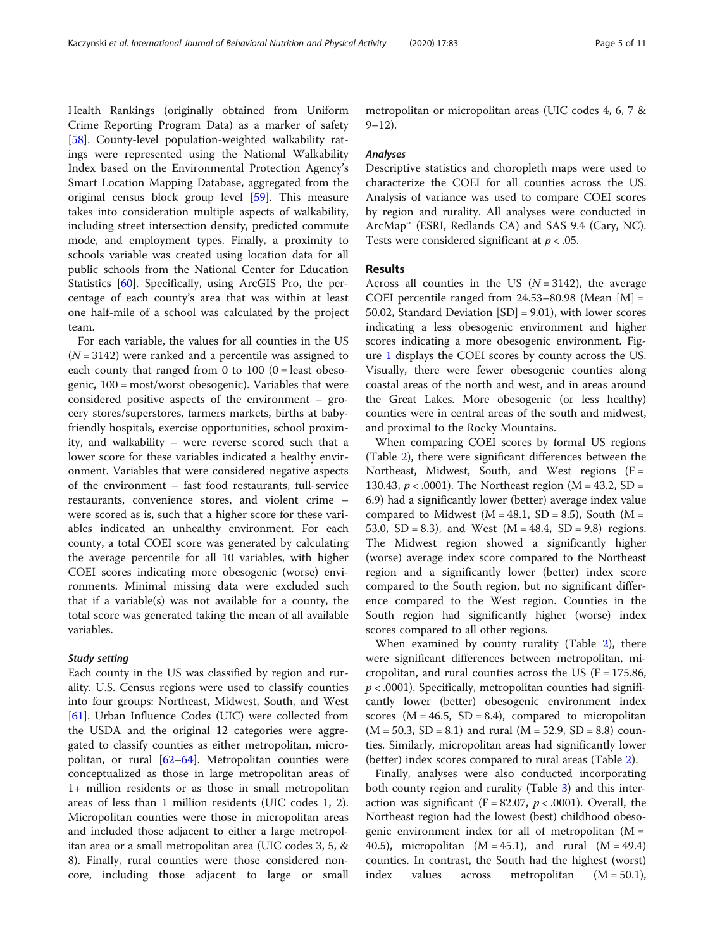Health Rankings (originally obtained from Uniform Crime Reporting Program Data) as a marker of safety [[58\]](#page-10-0). County-level population-weighted walkability ratings were represented using the National Walkability Index based on the Environmental Protection Agency's Smart Location Mapping Database, aggregated from the original census block group level [\[59](#page-10-0)]. This measure takes into consideration multiple aspects of walkability, including street intersection density, predicted commute mode, and employment types. Finally, a proximity to schools variable was created using location data for all public schools from the National Center for Education Statistics [[60](#page-10-0)]. Specifically, using ArcGIS Pro, the percentage of each county's area that was within at least one half-mile of a school was calculated by the project team.

For each variable, the values for all counties in the US  $(N = 3142)$  were ranked and a percentile was assigned to each county that ranged from 0 to  $100$  (0 = least obesogenic, 100 = most/worst obesogenic). Variables that were considered positive aspects of the environment – grocery stores/superstores, farmers markets, births at babyfriendly hospitals, exercise opportunities, school proximity, and walkability – were reverse scored such that a lower score for these variables indicated a healthy environment. Variables that were considered negative aspects of the environment – fast food restaurants, full-service restaurants, convenience stores, and violent crime – were scored as is, such that a higher score for these variables indicated an unhealthy environment. For each county, a total COEI score was generated by calculating the average percentile for all 10 variables, with higher COEI scores indicating more obesogenic (worse) environments. Minimal missing data were excluded such that if a variable(s) was not available for a county, the total score was generated taking the mean of all available variables.

## Study setting

Each county in the US was classified by region and rurality. U.S. Census regions were used to classify counties into four groups: Northeast, Midwest, South, and West [[61\]](#page-10-0). Urban Influence Codes (UIC) were collected from the USDA and the original 12 categories were aggregated to classify counties as either metropolitan, micropolitan, or rural  $[62-64]$  $[62-64]$  $[62-64]$  $[62-64]$  $[62-64]$ . Metropolitan counties were conceptualized as those in large metropolitan areas of 1+ million residents or as those in small metropolitan areas of less than 1 million residents (UIC codes 1, 2). Micropolitan counties were those in micropolitan areas and included those adjacent to either a large metropolitan area or a small metropolitan area (UIC codes 3, 5, & 8). Finally, rural counties were those considered noncore, including those adjacent to large or small metropolitan or micropolitan areas (UIC codes 4, 6, 7 &  $9 - 12$ ).

#### Analyses

Descriptive statistics and choropleth maps were used to characterize the COEI for all counties across the US. Analysis of variance was used to compare COEI scores by region and rurality. All analyses were conducted in ArcMap™ (ESRI, Redlands CA) and SAS 9.4 (Cary, NC). Tests were considered significant at  $p < .05$ .

## Results

Across all counties in the US  $(N = 3142)$ , the average COEI percentile ranged from  $24.53-80.98$  (Mean  $[M] =$ 50.02, Standard Deviation [SD] = 9.01), with lower scores indicating a less obesogenic environment and higher scores indicating a more obesogenic environment. Figure [1](#page-5-0) displays the COEI scores by county across the US. Visually, there were fewer obesogenic counties along coastal areas of the north and west, and in areas around the Great Lakes. More obesogenic (or less healthy) counties were in central areas of the south and midwest, and proximal to the Rocky Mountains.

When comparing COEI scores by formal US regions (Table [2](#page-5-0)), there were significant differences between the Northeast, Midwest, South, and West regions  $(F =$ 130.43,  $p < .0001$ ). The Northeast region (M = 43.2, SD = 6.9) had a significantly lower (better) average index value compared to Midwest ( $M = 48.1$ , SD = 8.5), South ( $M =$ 53.0, SD = 8.3), and West  $(M = 48.4, SD = 9.8)$  regions. The Midwest region showed a significantly higher (worse) average index score compared to the Northeast region and a significantly lower (better) index score compared to the South region, but no significant difference compared to the West region. Counties in the South region had significantly higher (worse) index scores compared to all other regions.

When examined by county rurality (Table [2](#page-5-0)), there were significant differences between metropolitan, micropolitan, and rural counties across the US ( $F = 175.86$ ,  $p < .0001$ ). Specifically, metropolitan counties had significantly lower (better) obesogenic environment index scores  $(M = 46.5, SD = 8.4)$ , compared to micropolitan  $(M = 50.3, SD = 8.1)$  and rural  $(M = 52.9, SD = 8.8)$  counties. Similarly, micropolitan areas had significantly lower (better) index scores compared to rural areas (Table [2](#page-5-0)).

Finally, analyses were also conducted incorporating both county region and rurality (Table [3\)](#page-6-0) and this interaction was significant ( $F = 82.07$ ,  $p < .0001$ ). Overall, the Northeast region had the lowest (best) childhood obesogenic environment index for all of metropolitan  $(M =$ 40.5), micropolitan (M = 45.1), and rural (M = 49.4) counties. In contrast, the South had the highest (worst) index values across metropolitan (M = 50.1),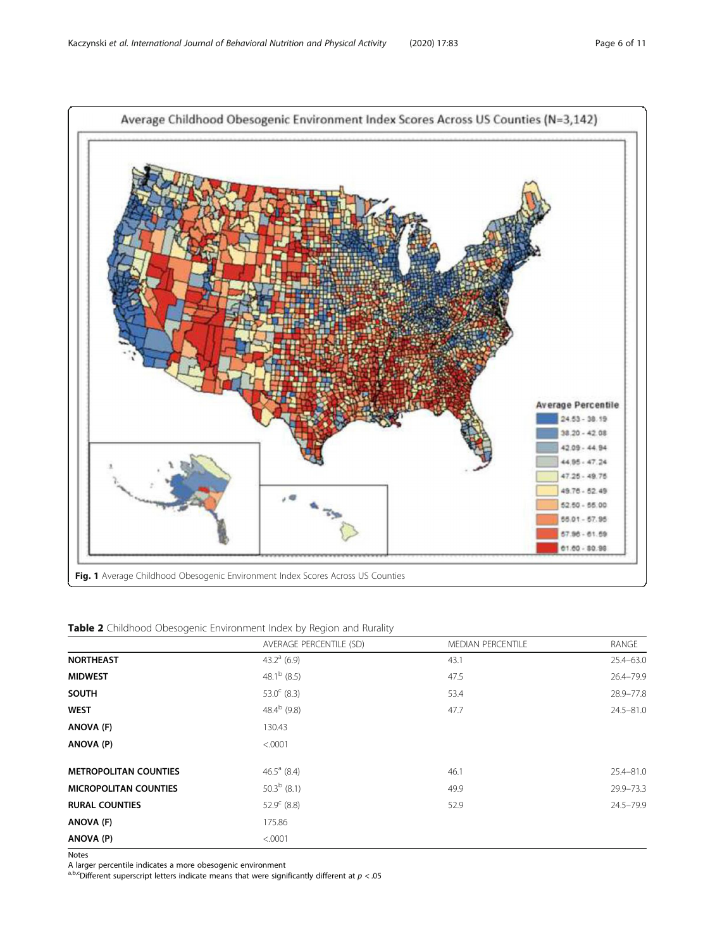<span id="page-5-0"></span>

Table 2 Childhood Obesogenic Environment Index by Region and Rurality

|                              | AVERAGE PERCENTILE (SD) | <b>MEDIAN PERCENTILE</b> | RANGE         |
|------------------------------|-------------------------|--------------------------|---------------|
| <b>NORTHEAST</b>             | 43.2 $^{\circ}$ (6.9)   | 43.1                     | $25.4 - 63.0$ |
| <b>MIDWEST</b>               | 48.1 <sup>b</sup> (8.5) | 47.5                     | 26.4-79.9     |
| <b>SOUTH</b>                 | 53.0 $^{\circ}$ (8.3)   | 53.4                     | 28.9-77.8     |
| <b>WEST</b>                  | 48.4 $^{\rm b}$ (9.8)   | 47.7                     | $24.5 - 81.0$ |
| ANOVA (F)                    | 130.43                  |                          |               |
| ANOVA (P)                    | < .0001                 |                          |               |
| <b>METROPOLITAN COUNTIES</b> | 46.5 $^{\circ}$ (8.4)   | 46.1                     | 25.4-81.0     |
| <b>MICROPOLITAN COUNTIES</b> | $50.3b$ (8.1)           | 49.9                     | 29.9-73.3     |
| <b>RURAL COUNTIES</b>        | $52.9^{\circ}$ (8.8)    | 52.9                     | 24.5-79.9     |
| ANOVA (F)                    | 175.86                  |                          |               |
| ANOVA (P)                    | < .0001                 |                          |               |

Notes

A larger percentile indicates a more obesogenic environment<br><sup>a,b,c</sup>Different superscript letters indicate means that were significantly different at  $p < .05$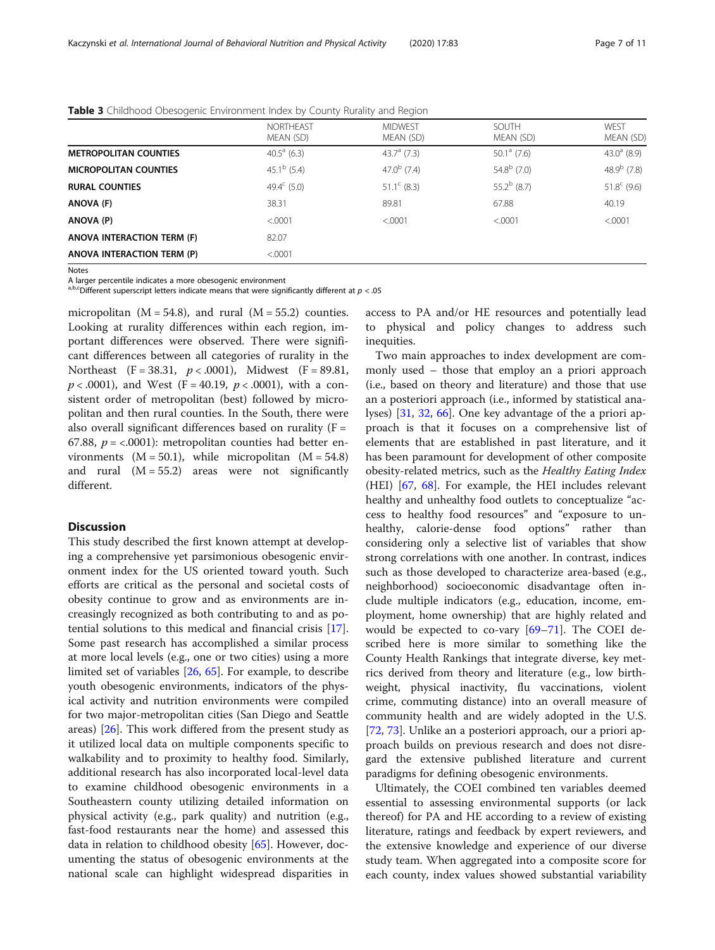|                              | <b>NORTHEAST</b><br>MEAN (SD) | <b>MIDWEST</b><br>MEAN (SD) | SOUTH<br>MEAN (SD)    | WFST<br>MEAN (SD)    |
|------------------------------|-------------------------------|-----------------------------|-----------------------|----------------------|
| <b>METROPOLITAN COUNTIES</b> | $40.5^{\circ}$ (6.3)          | $43.7a$ (7.3)               | $50.1^a$ (7.6)        | $43.0^{\circ}$ (8.9) |
| <b>MICROPOLITAN COUNTIES</b> | 45.1 <sup>b</sup> (5.4)       | $47.0^{b}$ (7.4)            | $54.8^{\rm b}$ (7.0)  | 48.9 $^{b}$ (7.8)    |
| <b>RURAL COUNTIES</b>        | 49.4 $\rm ^{c}$ (5.0)         | $51.1^{\circ}$ (8.3)        | 55.2 $^{\rm b}$ (8.7) | $51.8^{\circ}$ (9.6) |
| ANOVA (F)                    | 38.31                         | 89.81                       | 67.88                 | 40.19                |
| ANOVA (P)                    | < 0001                        | < 0.001                     | < 0.001               | < 0.001              |
| ANOVA INTERACTION TERM (F)   | 82.07                         |                             |                       |                      |
| ANOVA INTERACTION TERM (P)   | < .0001                       |                             |                       |                      |

<span id="page-6-0"></span>Table 3 Childhood Obesogenic Environment Index by County Rurality and Region

Notes

A larger percentile indicates a more obesogenic environment

a,b,cDifferent superscript letters indicate means that were significantly different at  $p < 0.05$ 

micropolitan ( $M = 54.8$ ), and rural ( $M = 55.2$ ) counties. Looking at rurality differences within each region, important differences were observed. There were significant differences between all categories of rurality in the Northeast  $(F = 38.31, p < .0001)$ , Midwest  $(F = 89.81,$  $p < .0001$ ), and West (F = 40.19,  $p < .0001$ ), with a consistent order of metropolitan (best) followed by micropolitan and then rural counties. In the South, there were also overall significant differences based on rurality  $(F =$ 67.88,  $p = <.0001$ ): metropolitan counties had better environments  $(M = 50.1)$ , while micropolitan  $(M = 54.8)$ and rural  $(M = 55.2)$  areas were not significantly different.

## **Discussion**

This study described the first known attempt at developing a comprehensive yet parsimonious obesogenic environment index for the US oriented toward youth. Such efforts are critical as the personal and societal costs of obesity continue to grow and as environments are increasingly recognized as both contributing to and as potential solutions to this medical and financial crisis [\[17](#page-9-0)]. Some past research has accomplished a similar process at more local levels (e.g., one or two cities) using a more limited set of variables [[26,](#page-9-0) [65\]](#page-10-0). For example, to describe youth obesogenic environments, indicators of the physical activity and nutrition environments were compiled for two major-metropolitan cities (San Diego and Seattle areas) [[26\]](#page-9-0). This work differed from the present study as it utilized local data on multiple components specific to walkability and to proximity to healthy food. Similarly, additional research has also incorporated local-level data to examine childhood obesogenic environments in a Southeastern county utilizing detailed information on physical activity (e.g., park quality) and nutrition (e.g., fast-food restaurants near the home) and assessed this data in relation to childhood obesity [\[65](#page-10-0)]. However, documenting the status of obesogenic environments at the national scale can highlight widespread disparities in

access to PA and/or HE resources and potentially lead to physical and policy changes to address such inequities.

Two main approaches to index development are commonly used – those that employ an a priori approach (i.e., based on theory and literature) and those that use an a posteriori approach (i.e., informed by statistical analyses) [\[31](#page-9-0), [32](#page-9-0), [66\]](#page-10-0). One key advantage of the a priori approach is that it focuses on a comprehensive list of elements that are established in past literature, and it has been paramount for development of other composite obesity-related metrics, such as the Healthy Eating Index (HEI) [\[67,](#page-10-0) [68](#page-10-0)]. For example, the HEI includes relevant healthy and unhealthy food outlets to conceptualize "access to healthy food resources" and "exposure to unhealthy, calorie-dense food options" rather than considering only a selective list of variables that show strong correlations with one another. In contrast, indices such as those developed to characterize area-based (e.g., neighborhood) socioeconomic disadvantage often include multiple indicators (e.g., education, income, employment, home ownership) that are highly related and would be expected to co-vary  $[69-71]$  $[69-71]$  $[69-71]$  $[69-71]$  $[69-71]$ . The COEI described here is more similar to something like the County Health Rankings that integrate diverse, key metrics derived from theory and literature (e.g., low birthweight, physical inactivity, flu vaccinations, violent crime, commuting distance) into an overall measure of community health and are widely adopted in the U.S. [[72,](#page-10-0) [73\]](#page-10-0). Unlike an a posteriori approach, our a priori approach builds on previous research and does not disregard the extensive published literature and current paradigms for defining obesogenic environments.

Ultimately, the COEI combined ten variables deemed essential to assessing environmental supports (or lack thereof) for PA and HE according to a review of existing literature, ratings and feedback by expert reviewers, and the extensive knowledge and experience of our diverse study team. When aggregated into a composite score for each county, index values showed substantial variability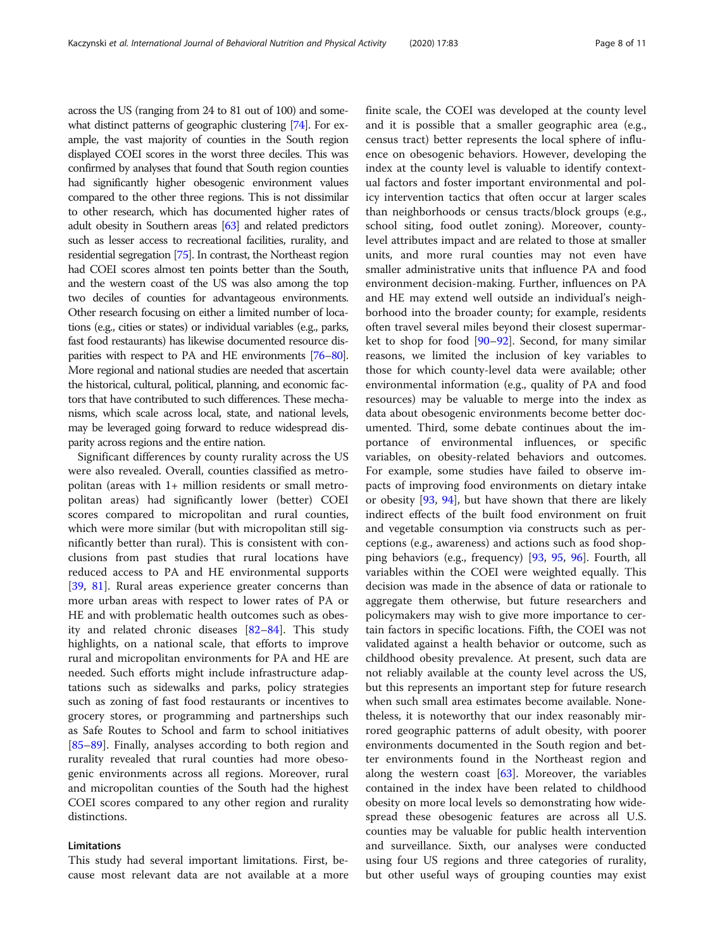across the US (ranging from 24 to 81 out of 100) and some-what distinct patterns of geographic clustering [\[74\]](#page-10-0). For example, the vast majority of counties in the South region displayed COEI scores in the worst three deciles. This was confirmed by analyses that found that South region counties had significantly higher obesogenic environment values compared to the other three regions. This is not dissimilar to other research, which has documented higher rates of adult obesity in Southern areas [\[63\]](#page-10-0) and related predictors such as lesser access to recreational facilities, rurality, and residential segregation [[75\]](#page-10-0). In contrast, the Northeast region had COEI scores almost ten points better than the South, and the western coast of the US was also among the top two deciles of counties for advantageous environments. Other research focusing on either a limited number of locations (e.g., cities or states) or individual variables (e.g., parks, fast food restaurants) has likewise documented resource disparities with respect to PA and HE environments [\[76](#page-10-0)–[80](#page-10-0)]. More regional and national studies are needed that ascertain the historical, cultural, political, planning, and economic factors that have contributed to such differences. These mechanisms, which scale across local, state, and national levels, may be leveraged going forward to reduce widespread disparity across regions and the entire nation.

Significant differences by county rurality across the US were also revealed. Overall, counties classified as metropolitan (areas with 1+ million residents or small metropolitan areas) had significantly lower (better) COEI scores compared to micropolitan and rural counties, which were more similar (but with micropolitan still significantly better than rural). This is consistent with conclusions from past studies that rural locations have reduced access to PA and HE environmental supports [[39,](#page-9-0) [81\]](#page-10-0). Rural areas experience greater concerns than more urban areas with respect to lower rates of PA or HE and with problematic health outcomes such as obesity and related chronic diseases [\[82](#page-10-0)–[84\]](#page-10-0). This study highlights, on a national scale, that efforts to improve rural and micropolitan environments for PA and HE are needed. Such efforts might include infrastructure adaptations such as sidewalks and parks, policy strategies such as zoning of fast food restaurants or incentives to grocery stores, or programming and partnerships such as Safe Routes to School and farm to school initiatives [[85](#page-10-0)–[89](#page-10-0)]. Finally, analyses according to both region and rurality revealed that rural counties had more obesogenic environments across all regions. Moreover, rural and micropolitan counties of the South had the highest COEI scores compared to any other region and rurality distinctions.

## Limitations

This study had several important limitations. First, because most relevant data are not available at a more finite scale, the COEI was developed at the county level and it is possible that a smaller geographic area (e.g., census tract) better represents the local sphere of influence on obesogenic behaviors. However, developing the index at the county level is valuable to identify contextual factors and foster important environmental and policy intervention tactics that often occur at larger scales than neighborhoods or census tracts/block groups (e.g., school siting, food outlet zoning). Moreover, countylevel attributes impact and are related to those at smaller units, and more rural counties may not even have smaller administrative units that influence PA and food environment decision-making. Further, influences on PA and HE may extend well outside an individual's neighborhood into the broader county; for example, residents often travel several miles beyond their closest supermarket to shop for food [\[90](#page-10-0)–[92\]](#page-10-0). Second, for many similar reasons, we limited the inclusion of key variables to those for which county-level data were available; other environmental information (e.g., quality of PA and food resources) may be valuable to merge into the index as data about obesogenic environments become better documented. Third, some debate continues about the importance of environmental influences, or specific variables, on obesity-related behaviors and outcomes. For example, some studies have failed to observe impacts of improving food environments on dietary intake or obesity [[93](#page-10-0), [94](#page-10-0)], but have shown that there are likely indirect effects of the built food environment on fruit and vegetable consumption via constructs such as perceptions (e.g., awareness) and actions such as food shopping behaviors (e.g., frequency) [\[93](#page-10-0), [95](#page-10-0), [96\]](#page-10-0). Fourth, all variables within the COEI were weighted equally. This decision was made in the absence of data or rationale to aggregate them otherwise, but future researchers and policymakers may wish to give more importance to certain factors in specific locations. Fifth, the COEI was not validated against a health behavior or outcome, such as childhood obesity prevalence. At present, such data are not reliably available at the county level across the US, but this represents an important step for future research when such small area estimates become available. Nonetheless, it is noteworthy that our index reasonably mirrored geographic patterns of adult obesity, with poorer environments documented in the South region and better environments found in the Northeast region and along the western coast [[63\]](#page-10-0). Moreover, the variables contained in the index have been related to childhood obesity on more local levels so demonstrating how widespread these obesogenic features are across all U.S. counties may be valuable for public health intervention and surveillance. Sixth, our analyses were conducted using four US regions and three categories of rurality, but other useful ways of grouping counties may exist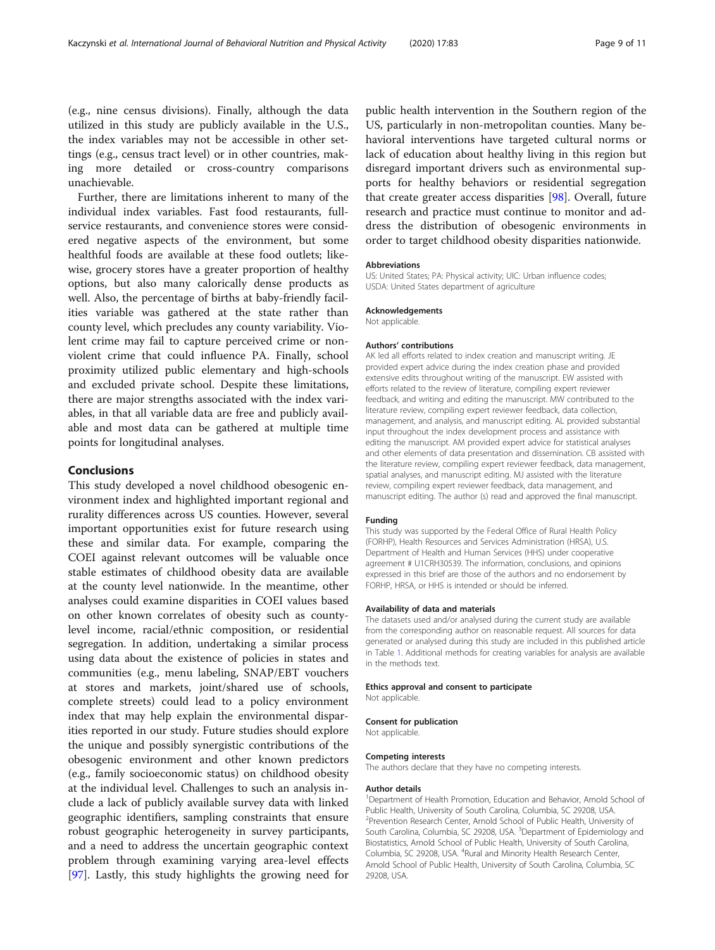(e.g., nine census divisions). Finally, although the data utilized in this study are publicly available in the U.S., the index variables may not be accessible in other settings (e.g., census tract level) or in other countries, making more detailed or cross-country comparisons unachievable.

Further, there are limitations inherent to many of the individual index variables. Fast food restaurants, fullservice restaurants, and convenience stores were considered negative aspects of the environment, but some healthful foods are available at these food outlets; likewise, grocery stores have a greater proportion of healthy options, but also many calorically dense products as well. Also, the percentage of births at baby-friendly facilities variable was gathered at the state rather than county level, which precludes any county variability. Violent crime may fail to capture perceived crime or nonviolent crime that could influence PA. Finally, school proximity utilized public elementary and high-schools and excluded private school. Despite these limitations, there are major strengths associated with the index variables, in that all variable data are free and publicly available and most data can be gathered at multiple time points for longitudinal analyses.

## Conclusions

This study developed a novel childhood obesogenic environment index and highlighted important regional and rurality differences across US counties. However, several important opportunities exist for future research using these and similar data. For example, comparing the COEI against relevant outcomes will be valuable once stable estimates of childhood obesity data are available at the county level nationwide. In the meantime, other analyses could examine disparities in COEI values based on other known correlates of obesity such as countylevel income, racial/ethnic composition, or residential segregation. In addition, undertaking a similar process using data about the existence of policies in states and communities (e.g., menu labeling, SNAP/EBT vouchers at stores and markets, joint/shared use of schools, complete streets) could lead to a policy environment index that may help explain the environmental disparities reported in our study. Future studies should explore the unique and possibly synergistic contributions of the obesogenic environment and other known predictors (e.g., family socioeconomic status) on childhood obesity at the individual level. Challenges to such an analysis include a lack of publicly available survey data with linked geographic identifiers, sampling constraints that ensure robust geographic heterogeneity in survey participants, and a need to address the uncertain geographic context problem through examining varying area-level effects [[97\]](#page-10-0). Lastly, this study highlights the growing need for

public health intervention in the Southern region of the US, particularly in non-metropolitan counties. Many behavioral interventions have targeted cultural norms or lack of education about healthy living in this region but disregard important drivers such as environmental supports for healthy behaviors or residential segregation that create greater access disparities [\[98\]](#page-10-0). Overall, future research and practice must continue to monitor and address the distribution of obesogenic environments in order to target childhood obesity disparities nationwide.

#### Abbreviations

US: United States; PA: Physical activity; UIC: Urban influence codes; USDA: United States department of agriculture

#### Acknowledgements

Not applicable.

## Authors' contributions

AK led all efforts related to index creation and manuscript writing. JE provided expert advice during the index creation phase and provided extensive edits throughout writing of the manuscript. EW assisted with efforts related to the review of literature, compiling expert reviewer feedback, and writing and editing the manuscript. MW contributed to the literature review, compiling expert reviewer feedback, data collection, management, and analysis, and manuscript editing. AL provided substantial input throughout the index development process and assistance with editing the manuscript. AM provided expert advice for statistical analyses and other elements of data presentation and dissemination. CB assisted with the literature review, compiling expert reviewer feedback, data management, spatial analyses, and manuscript editing. MJ assisted with the literature review, compiling expert reviewer feedback, data management, and manuscript editing. The author (s) read and approved the final manuscript.

#### Funding

This study was supported by the Federal Office of Rural Health Policy (FORHP), Health Resources and Services Administration (HRSA), U.S. Department of Health and Human Services (HHS) under cooperative agreement # U1CRH30539. The information, conclusions, and opinions expressed in this brief are those of the authors and no endorsement by FORHP, HRSA, or HHS is intended or should be inferred.

#### Availability of data and materials

The datasets used and/or analysed during the current study are available from the corresponding author on reasonable request. All sources for data generated or analysed during this study are included in this published article in Table [1](#page-3-0). Additional methods for creating variables for analysis are available in the methods text.

#### Ethics approval and consent to participate

Not applicable.

#### Consent for publication

Not applicable.

#### Competing interests

The authors declare that they have no competing interests.

#### Author details

<sup>1</sup>Department of Health Promotion, Education and Behavior, Arnold School of Public Health, University of South Carolina, Columbia, SC 29208, USA. <sup>2</sup>Prevention Research Center, Arnold School of Public Health, University of South Carolina, Columbia, SC 29208, USA. <sup>3</sup>Department of Epidemiology and Biostatistics, Arnold School of Public Health, University of South Carolina, Columbia, SC 29208, USA. <sup>4</sup>Rural and Minority Health Research Center, Arnold School of Public Health, University of South Carolina, Columbia, SC 29208, USA.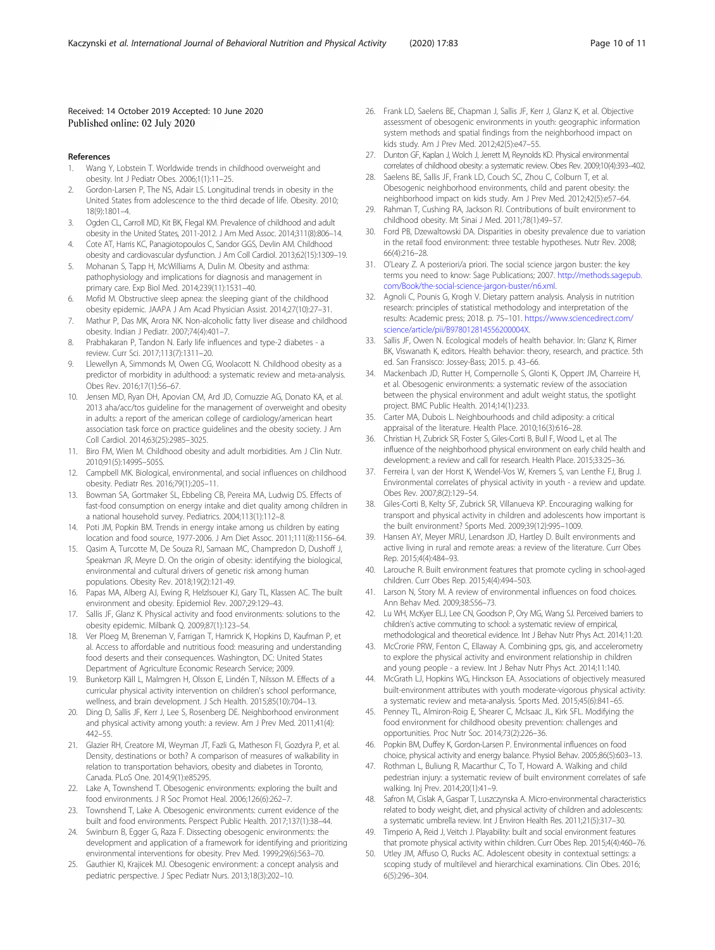### <span id="page-9-0"></span>Received: 14 October 2019 Accepted: 10 June 2020 Published online: 02 July 2020

#### References

- 1. Wang Y, Lobstein T. Worldwide trends in childhood overweight and obesity. Int J Pediatr Obes. 2006;1(1):11–25.
- Gordon-Larsen P, The NS, Adair LS. Longitudinal trends in obesity in the United States from adolescence to the third decade of life. Obesity. 2010; 18(9):1801–4.
- 3. Ogden CL, Carroll MD, Kit BK, Flegal KM. Prevalence of childhood and adult obesity in the United States, 2011-2012. J Am Med Assoc. 2014;311(8):806–14.
- 4. Cote AT, Harris KC, Panagiotopoulos C, Sandor GGS, Devlin AM. Childhood obesity and cardiovascular dysfunction. J Am Coll Cardiol. 2013;62(15):1309–19.
- 5. Mohanan S, Tapp H, McWilliams A, Dulin M. Obesity and asthma: pathophysiology and implications for diagnosis and management in primary care. Exp Biol Med. 2014;239(11):1531–40.
- 6. Mofid M. Obstructive sleep apnea: the sleeping giant of the childhood obesity epidemic. JAAPA J Am Acad Physician Assist. 2014;27(10):27–31.
- 7. Mathur P, Das MK, Arora NK. Non-alcoholic fatty liver disease and childhood obesity. Indian J Pediatr. 2007;74(4):401–7.
- 8. Prabhakaran P, Tandon N. Early life influences and type-2 diabetes a review. Curr Sci. 2017;113(7):1311–20.
- 9. Llewellyn A, Simmonds M, Owen CG, Woolacott N. Childhood obesity as a predictor of morbidity in adulthood: a systematic review and meta-analysis. Obes Rev. 2016;17(1):56–67.
- 10. Jensen MD, Ryan DH, Apovian CM, Ard JD, Comuzzie AG, Donato KA, et al. 2013 aha/acc/tos guideline for the management of overweight and obesity in adults: a report of the american college of cardiology/american heart association task force on practice guidelines and the obesity society. J Am Coll Cardiol. 2014;63(25):2985–3025.
- 11. Biro FM, Wien M. Childhood obesity and adult morbidities. Am J Clin Nutr. 2010;91(5):1499S–505S.
- 12. Campbell MK. Biological, environmental, and social influences on childhood obesity. Pediatr Res. 2016;79(1):205–11.
- 13. Bowman SA, Gortmaker SL, Ebbeling CB, Pereira MA, Ludwig DS. Effects of fast-food consumption on energy intake and diet quality among children in a national household survey. Pediatrics. 2004;113(1):112–8.
- 14. Poti JM, Popkin BM. Trends in energy intake among us children by eating location and food source, 1977-2006. J Am Diet Assoc. 2011;111(8):1156–64.
- 15. Qasim A, Turcotte M, De Souza RJ, Samaan MC, Champredon D, Dushoff J, Speakman JR, Meyre D. On the origin of obesity: identifying the biological, environmental and cultural drivers of genetic risk among human populations. Obesity Rev. 2018;19(2):121-49.
- 16. Papas MA, Alberg AJ, Ewing R, Helzlsouer KJ, Gary TL, Klassen AC. The built environment and obesity. Epidemiol Rev. 2007;29:129–43.
- 17. Sallis JF, Glanz K. Physical activity and food environments: solutions to the obesity epidemic. Milbank Q. 2009;87(1):123–54.
- 18. Ver Ploeg M, Breneman V, Farrigan T, Hamrick K, Hopkins D, Kaufman P, et al. Access to affordable and nutritious food: measuring and understanding food deserts and their consequences. Washington, DC: United States Department of Agriculture Economic Research Service; 2009.
- 19. Bunketorp Käll L, Malmgren H, Olsson E, Lindén T, Nilsson M. Effects of a curricular physical activity intervention on children's school performance, wellness, and brain development. J Sch Health. 2015;85(10):704–13.
- 20. Ding D, Sallis JF, Kerr J, Lee S, Rosenberg DE. Neighborhood environment and physical activity among youth: a review. Am J Prev Med. 2011;41(4): 442–55.
- 21. Glazier RH, Creatore MI, Weyman JT, Fazli G, Matheson FI, Gozdyra P, et al. Density, destinations or both? A comparison of measures of walkability in relation to transportation behaviors, obesity and diabetes in Toronto, Canada. PLoS One. 2014;9(1):e85295.
- 22. Lake A, Townshend T. Obesogenic environments: exploring the built and food environments. J R Soc Promot Heal. 2006;126(6):262–7.
- 23. Townshend T, Lake A. Obesogenic environments: current evidence of the built and food environments. Perspect Public Health. 2017;137(1):38–44.
- 24. Swinburn B, Egger G, Raza F. Dissecting obesogenic environments: the development and application of a framework for identifying and prioritizing environmental interventions for obesity. Prev Med. 1999;29(6):563–70.
- 25. Gauthier KI, Krajicek MJ. Obesogenic environment: a concept analysis and pediatric perspective. J Spec Pediatr Nurs. 2013;18(3):202–10.
- 26. Frank LD, Saelens BE, Chapman J, Sallis JF, Kerr J, Glanz K, et al. Objective assessment of obesogenic environments in youth: geographic information system methods and spatial findings from the neighborhood impact on kids study. Am J Prev Med. 2012;42(5):e47–55.
- 27. Dunton GF, Kaplan J, Wolch J, Jerrett M, Reynolds KD. Physical environmental correlates of childhood obesity: a systematic review. Obes Rev. 2009;10(4):393–402.
- Saelens BE, Sallis JF, Frank LD, Couch SC, Zhou C, Colburn T, et al. Obesogenic neighborhood environments, child and parent obesity: the neighborhood impact on kids study. Am J Prev Med. 2012;42(5):e57–64.
- 29. Rahman T, Cushing RA, Jackson RJ. Contributions of built environment to childhood obesity. Mt Sinai J Med. 2011;78(1):49–57.
- 30. Ford PB, Dzewaltowski DA. Disparities in obesity prevalence due to variation in the retail food environment: three testable hypotheses. Nutr Rev. 2008; 66(4):216–28.
- 31. O'Leary Z. A posteriori/a priori. The social science jargon buster: the key terms you need to know: Sage Publications; 2007. [http://methods.sagepub.](http://methods.sagepub.com/Book/the-social-science-jargon-buster/n6.xml) [com/Book/the-social-science-jargon-buster/n6.xml.](http://methods.sagepub.com/Book/the-social-science-jargon-buster/n6.xml)
- 32. Agnoli C, Pounis G, Krogh V. Dietary pattern analysis. Analysis in nutrition research: principles of statistical methodology and interpretation of the results: Academic press; 2018. p. 75–101. [https://www.sciencedirect.com/](https://www.sciencedirect.com/science/article/pii/B978012814556200004X) [science/article/pii/B978012814556200004X.](https://www.sciencedirect.com/science/article/pii/B978012814556200004X)
- 33. Sallis JF, Owen N. Ecological models of health behavior. In: Glanz K, Rimer BK, Viswanath K, editors. Health behavior: theory, research, and practice. 5th ed. San Fransisco: Jossey-Bass; 2015. p. 43–66.
- 34. Mackenbach JD, Rutter H, Compernolle S, Glonti K, Oppert JM, Charreire H, et al. Obesogenic environments: a systematic review of the association between the physical environment and adult weight status, the spotlight project. BMC Public Health. 2014;14(1):233.
- 35. Carter MA, Dubois L. Neighbourhoods and child adiposity: a critical appraisal of the literature. Health Place. 2010;16(3):616–28.
- 36. Christian H, Zubrick SR, Foster S, Giles-Corti B, Bull F, Wood L, et al. The influence of the neighborhood physical environment on early child health and development: a review and call for research. Health Place. 2015;33:25–36.
- 37. Ferreira I, van der Horst K, Wendel-Vos W, Kremers S, van Lenthe FJ, Brug J. Environmental correlates of physical activity in youth - a review and update. Obes Rev. 2007;8(2):129–54.
- 38. Giles-Corti B, Kelty SF, Zubrick SR, Villanueva KP. Encouraging walking for transport and physical activity in children and adolescents how important is the built environment? Sports Med. 2009;39(12):995–1009.
- 39. Hansen AY, Meyer MRU, Lenardson JD, Hartley D. Built environments and active living in rural and remote areas: a review of the literature. Curr Obes Rep. 2015;4(4):484–93.
- 40. Larouche R. Built environment features that promote cycling in school-aged children. Curr Obes Rep. 2015;4(4):494–503.
- 41. Larson N, Story M. A review of environmental influences on food choices. Ann Behav Med. 2009;38:S56–73.
- 42. Lu WH, McKyer ELJ, Lee CN, Goodson P, Ory MG, Wang SJ. Perceived barriers to children's active commuting to school: a systematic review of empirical, methodological and theoretical evidence. Int J Behav Nutr Phys Act. 2014;11:20.
- 43. McCrorie PRW, Fenton C, Ellaway A. Combining gps, gis, and accelerometry to explore the physical activity and environment relationship in children and young people - a review. Int J Behav Nutr Phys Act. 2014;11:140.
- 44. McGrath LJ, Hopkins WG, Hinckson EA. Associations of objectively measured built-environment attributes with youth moderate-vigorous physical activity: a systematic review and meta-analysis. Sports Med. 2015;45(6):841–65.
- 45. Penney TL, Almiron-Roig E, Shearer C, McIsaac JL, Kirk SFL. Modifying the food environment for childhood obesity prevention: challenges and opportunities. Proc Nutr Soc. 2014;73(2):226–36.
- 46. Popkin BM, Duffey K, Gordon-Larsen P. Environmental influences on food choice, physical activity and energy balance. Physiol Behav. 2005;86(5):603–13.
- 47. Rothman L, Buliung R, Macarthur C, To T, Howard A. Walking and child pedestrian injury: a systematic review of built environment correlates of safe walking. Inj Prev. 2014;20(1):41–9.
- 48. Safron M, Cislak A, Gaspar T, Luszczynska A. Micro-environmental characteristics related to body weight, diet, and physical activity of children and adolescents: a systematic umbrella review. Int J Environ Health Res. 2011;21(5):317–30.
- 49. Timperio A, Reid J, Veitch J. Playability: built and social environment features that promote physical activity within children. Curr Obes Rep. 2015;4(4):460–76.
- 50. Utley JM, Affuso O, Rucks AC. Adolescent obesity in contextual settings: a scoping study of multilevel and hierarchical examinations. Clin Obes. 2016; 6(5):296–304.